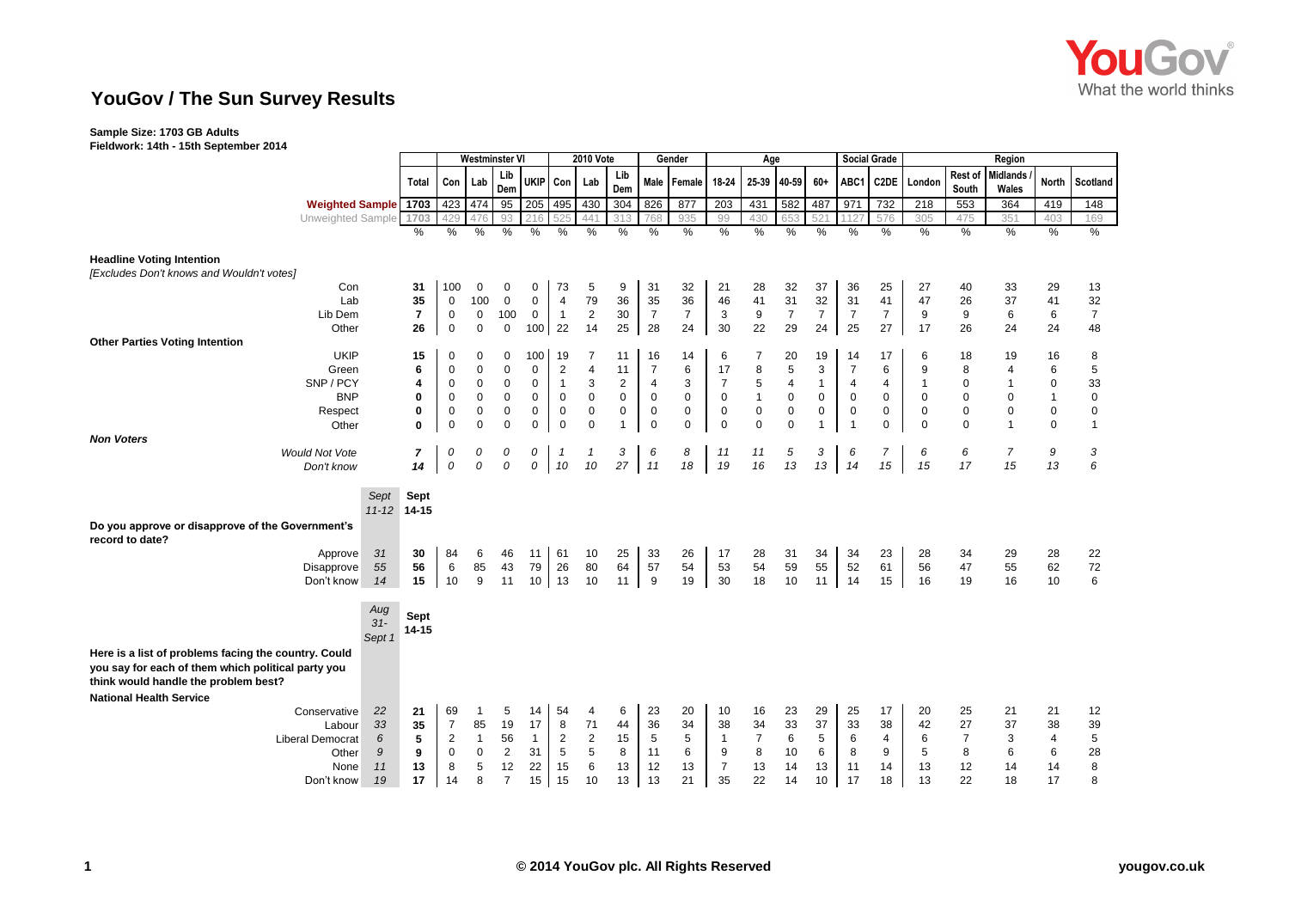

## **YouGov / The Sun Survey Results**

### **Sample Size: 1703 GB Adults**

**Fieldwork: 14th - 15th September 2014**

|                                                                     |           | <b>Westminster VI</b>   |                            |                        |                  |              | 2010 Vote                     |                  | Gender                                 |                                        |                | Age                           |                   |                |                   | <b>Social Grade</b> | Region            |                               |                  |                   |                             |                   |
|---------------------------------------------------------------------|-----------|-------------------------|----------------------------|------------------------|------------------|--------------|-------------------------------|------------------|----------------------------------------|----------------------------------------|----------------|-------------------------------|-------------------|----------------|-------------------|---------------------|-------------------|-------------------------------|------------------|-------------------|-----------------------------|-------------------|
|                                                                     |           | Total                   | Con                        | Lab                    | Lib<br>Dem       | <b>UKIP</b>  | Con                           | Lab              | Lib<br>Dem                             | Male                                   | Female         | 18-24                         | 25-39             | 40-59          | 60+               | ABC1                | C <sub>2</sub> DE | London                        | Rest of<br>South | Midlands<br>Wales | <b>North</b>                | Scotland          |
| <b>Weighted Sample 1703</b>                                         |           |                         | 423                        | 474                    | $\overline{95}$  | 205          | 495                           | 430              | 304                                    | 826                                    | 877            | $\overline{203}$              | 431               | 582            | 487               | 971                 | 732               | $\overline{218}$              | 553              | 364               | 419                         | 148               |
| Unweighted Sample                                                   |           | 1703                    | 429                        |                        | 93               |              | 52!                           | 441              | 31                                     | 768                                    | 935            | 99                            | 430               | 653            | 52 <sup>2</sup>   | 112                 | 576               | 305                           | 475              | 351               | 403                         | 169               |
|                                                                     |           | %                       | %                          | $\%$                   | %                | %            | %                             | %                | %                                      | %                                      | %              | %                             | %                 | %              | $\%$              | %                   | %                 | %                             | %                | $\%$              | $\%$                        | $\%$              |
| <b>Headline Voting Intention</b>                                    |           |                         |                            |                        |                  |              |                               |                  |                                        |                                        |                |                               |                   |                |                   |                     |                   |                               |                  |                   |                             |                   |
| [Excludes Don't knows and Wouldn't votes]                           |           |                         |                            |                        |                  |              |                               |                  |                                        |                                        |                |                               |                   |                |                   |                     |                   |                               |                  |                   |                             |                   |
| Con                                                                 |           | 31                      | 100                        | 0                      | 0                | 0            | 73                            | 5                | 9                                      | 31                                     | 32             | 21                            | 28                | 32             | 37                | 36                  | 25                | 27                            | 40               | 33                | 29                          | 13                |
| Lab                                                                 |           | 35                      | $\mathbf 0$                | 100                    | $\mathbf 0$      | $\mathbf 0$  | $\overline{4}$                | 79               | 36                                     | 35                                     | 36             | 46                            | 41                | 31             | 32                | 31                  | 41                | 47                            | 26               | 37                | 41                          | 32                |
| Lib Dem                                                             |           | $\overline{\mathbf{r}}$ | $\mathbf 0$                | $\mathbf 0$            | 100              | $\mathbf 0$  | $\overline{1}$                | $\mathbf{2}$     | 30                                     | $\overline{7}$                         | $\overline{7}$ | 3                             | 9                 | $\overline{7}$ | $\overline{7}$    | $\overline{7}$      | $\overline{7}$    | 9                             | 9                | 6                 | 6                           | $\overline{7}$    |
| Other                                                               |           | 26                      | $\mathbf 0$                | $\mathbf 0$            | $\mathbf 0$      | 100 22       |                               | 14               | 25                                     | 28                                     | 24             | 30                            | 22                | 29             | 24                | 25                  | 27                | 17                            | 26               | 24                | 24                          | 48                |
| <b>Other Parties Voting Intention</b>                               |           |                         |                            |                        |                  |              |                               |                  |                                        |                                        |                |                               |                   |                |                   |                     |                   |                               |                  |                   |                             |                   |
| <b>UKIP</b>                                                         |           | 15                      | 0                          | 0                      | 0                | 100          | 19                            | 7                | 11                                     | 16                                     | 14             | 6                             |                   | 20             | 19                | 14                  | 17                | 6                             | 18               | 19                | 16                          | 8                 |
| Green                                                               |           | 6                       | 0                          | $\pmb{0}$              | 0                | 0            | $\sqrt{2}$                    | $\overline{4}$   | 11                                     | $\overline{7}$                         | 6              | 17                            | 8                 | 5              | 3                 | $\overline{7}$      | 6                 | 9                             | 8                | 4                 | 6                           | 5                 |
| SNP / PCY<br><b>BNP</b>                                             |           | 4<br>0                  | 0                          | $\pmb{0}$<br>$\pmb{0}$ | 0<br>$\mathbf 0$ | 0<br>0       | $\overline{1}$<br>$\mathbf 0$ | 3<br>$\mathsf 0$ | $\overline{\mathbf{c}}$<br>$\mathbf 0$ | $\overline{\mathbf{4}}$<br>$\mathbf 0$ | 3<br>$\pmb{0}$ | $\overline{7}$<br>$\mathbf 0$ | 5<br>$\mathbf{1}$ | 4<br>$\pmb{0}$ | $\mathbf{1}$<br>0 | 4<br>0              | 4<br>$\mathbf 0$  | $\overline{1}$<br>$\mathbf 0$ | 0<br>$\pmb{0}$   | 1<br>0            | $\mathbf 0$<br>$\mathbf{1}$ | 33<br>$\mathbf 0$ |
|                                                                     |           | 0                       | $\mathbf 0$<br>$\mathbf 0$ | $\mathbf 0$            | $\mathbf 0$      | 0            | $\mathbf 0$                   | $\pmb{0}$        | 0                                      | $\mathbf 0$                            | $\mathbf 0$    | $\mathbf 0$                   | $\pmb{0}$         | $\mathbf 0$    | 0                 | 0                   | $\mathbf 0$       | $\mathbf 0$                   | $\pmb{0}$        | $\mathbf 0$       | $\mathsf 0$                 | 0                 |
| Respect<br>Other                                                    |           | $\mathbf{0}$            | $\mathbf 0$                | $\mathsf 0$            | 0                | 0            | $\mathbf 0$                   | $\mathbf 0$      | $\mathbf{1}$                           | $\mathbf 0$                            | $\mathbf 0$    | $\mathbf 0$                   | $\mathbf 0$       | $\mathbf 0$    | $\mathbf{1}$      | 1                   | $\mathbf 0$       | 0                             | $\mathbf 0$      | $\mathbf{1}$      | $\mathbf{0}$                | $\mathbf{1}$      |
| <b>Non Voters</b>                                                   |           |                         |                            |                        |                  |              |                               |                  |                                        |                                        |                |                               |                   |                |                   |                     |                   |                               |                  |                   |                             |                   |
| <b>Would Not Vote</b>                                               |           | 7                       | 0                          | 0                      | 0                | 0            | $\overline{1}$                | $\mathbf{1}$     | 3                                      | 6                                      | 8              | 11                            | 11                | 5              | 3                 | 6                   | $\overline{7}$    | 6                             | 6                | $\overline{7}$    | 9                           | 3                 |
| Don't know                                                          |           | 14                      | $\mathcal{O}$              | 0                      | 0                | 0            | 10                            | 10               | 27                                     | 11                                     | 18             | 19                            | 16                | 13             | 13                | 14                  | 15                | 15                            | 17               | 15                | 13                          | 6                 |
|                                                                     |           |                         |                            |                        |                  |              |                               |                  |                                        |                                        |                |                               |                   |                |                   |                     |                   |                               |                  |                   |                             |                   |
|                                                                     | Sept      | Sept                    |                            |                        |                  |              |                               |                  |                                        |                                        |                |                               |                   |                |                   |                     |                   |                               |                  |                   |                             |                   |
|                                                                     | $11 - 12$ | 14-15                   |                            |                        |                  |              |                               |                  |                                        |                                        |                |                               |                   |                |                   |                     |                   |                               |                  |                   |                             |                   |
|                                                                     |           |                         |                            |                        |                  |              |                               |                  |                                        |                                        |                |                               |                   |                |                   |                     |                   |                               |                  |                   |                             |                   |
| Do you approve or disapprove of the Government's<br>record to date? |           |                         |                            |                        |                  |              |                               |                  |                                        |                                        |                |                               |                   |                |                   |                     |                   |                               |                  |                   |                             |                   |
| Approve                                                             | 31        | 30                      | 84                         | 6                      | 46               | 11           | 61                            | 10               | 25                                     | 33                                     | 26             | 17                            | 28                | 31             | 34                | 34                  | 23                | 28                            | 34               | 29                | 28                          | 22                |
| Disapprove                                                          | 55        | 56                      | 6                          | 85                     | 43               | 79           | 26                            | 80               | 64                                     | 57                                     | 54             | 53                            | 54                | 59             | 55                | 52                  | 61                | 56                            | 47               | 55                | 62                          | 72                |
| Don't know                                                          | 14        | 15                      | 10                         | 9                      | 11               | 10           | 13                            | 10               | 11                                     | 9                                      | 19             | 30                            | 18                | 10             | 11                | 14                  | 15                | 16                            | 19               | 16                | 10                          | 6                 |
|                                                                     |           |                         |                            |                        |                  |              |                               |                  |                                        |                                        |                |                               |                   |                |                   |                     |                   |                               |                  |                   |                             |                   |
|                                                                     | Aug       |                         |                            |                        |                  |              |                               |                  |                                        |                                        |                |                               |                   |                |                   |                     |                   |                               |                  |                   |                             |                   |
|                                                                     | $31-$     | Sept                    |                            |                        |                  |              |                               |                  |                                        |                                        |                |                               |                   |                |                   |                     |                   |                               |                  |                   |                             |                   |
|                                                                     | Sept 1    | $14 - 15$               |                            |                        |                  |              |                               |                  |                                        |                                        |                |                               |                   |                |                   |                     |                   |                               |                  |                   |                             |                   |
| Here is a list of problems facing the country. Could                |           |                         |                            |                        |                  |              |                               |                  |                                        |                                        |                |                               |                   |                |                   |                     |                   |                               |                  |                   |                             |                   |
| you say for each of them which political party you                  |           |                         |                            |                        |                  |              |                               |                  |                                        |                                        |                |                               |                   |                |                   |                     |                   |                               |                  |                   |                             |                   |
| think would handle the problem best?                                |           |                         |                            |                        |                  |              |                               |                  |                                        |                                        |                |                               |                   |                |                   |                     |                   |                               |                  |                   |                             |                   |
|                                                                     |           |                         |                            |                        |                  |              |                               |                  |                                        |                                        |                |                               |                   |                |                   |                     |                   |                               |                  |                   |                             |                   |
| <b>National Health Service</b>                                      |           |                         |                            |                        |                  |              |                               |                  |                                        |                                        |                |                               |                   |                |                   |                     |                   |                               |                  |                   |                             |                   |
| Conservative                                                        | 22<br>33  | 21<br>35                | 69<br>$\overline{7}$       | -1<br>85               | 5<br>19          | 14<br>17     | 54<br>8                       | 4<br>71          | 6                                      | 23<br>36                               | 20<br>34       | 10<br>38                      | 16<br>34          | 23<br>33       | 29<br>37          | 25<br>33            | 17<br>38          | 20<br>42                      | 25<br>27         | 21<br>37          | 21<br>38                    | 12<br>39          |
| Labour                                                              | 6         | 5                       | $\overline{c}$             | $\overline{1}$         | 56               | $\mathbf{1}$ | $\overline{2}$                | $\sqrt{2}$       | 44<br>15                               | 5                                      | 5              | $\mathbf{1}$                  | $\overline{7}$    | 6              | 5                 | 6                   | $\overline{4}$    | 6                             | 7                | 3                 | 4                           | 5                 |
| <b>Liberal Democrat</b><br>Other                                    | 9         | 9                       | $\mathbf 0$                | $\boldsymbol{0}$       | $\overline{2}$   | 31           | 5                             | 5                | 8                                      | 11                                     | 6              | 9                             | 8                 | 10             | 6                 | 8                   | 9                 | 5                             | 8                | 6                 | 6                           | 28                |
| None                                                                | 11        | 13                      | 8                          | 5                      | 12               | 22           | 15                            | 6                | 13                                     | 12                                     | 13             | $\overline{7}$                | 13                | 14             | 13                | 11                  | 14                | 13                            | 12               | 14                | 14                          | 8                 |
| Don't know                                                          | 19        | 17                      | 14                         | 8                      | $\overline{7}$   | 15           | 15                            | 10               | 13                                     | 13                                     | 21             | 35                            | 22                | 14             | 10                | 17                  | 18                | 13                            | 22               | 18                | 17                          | 8                 |
|                                                                     |           |                         |                            |                        |                  |              |                               |                  |                                        |                                        |                |                               |                   |                |                   |                     |                   |                               |                  |                   |                             |                   |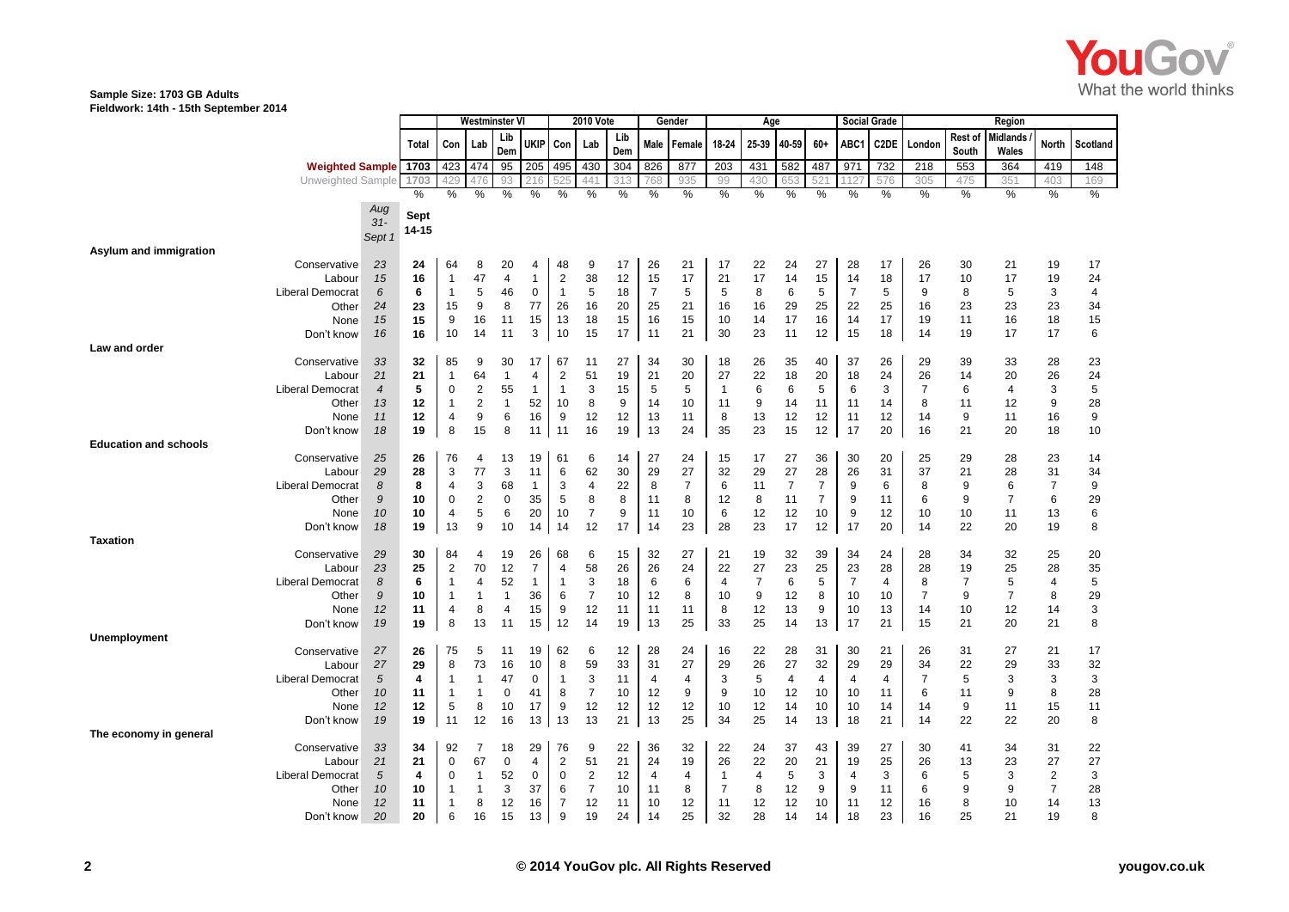

## **Sample Size: 1703 GB Adults**

**Fieldwork: 14th - 15th September 2014**

|                                   |                      | Westminster VI |                    |                      | 2010 Vote          |                      |                              | Gender         |            |                | Age      |                      |                |                | <b>Social Grade</b> |                |          | Region               |                  |                          |                |              |
|-----------------------------------|----------------------|----------------|--------------------|----------------------|--------------------|----------------------|------------------------------|----------------|------------|----------------|----------|----------------------|----------------|----------------|---------------------|----------------|----------|----------------------|------------------|--------------------------|----------------|--------------|
|                                   |                      | Total          | Con                | Lab                  | Lib<br>Dem         | ukip                 | Con                          | Lab            | Lib<br>Dem | Male           | Female   | 18-24                | 25-39          | 40-59          | 60+                 | ABC1           | C2DE     | London               | Rest of<br>South | <b>Midlands</b><br>Wales | North          | Scotland     |
| <b>Weighted Sample</b>            |                      | 1703           | 423                | 474                  | 95                 | 205                  | 495                          | 430            | 304        | 826            | 877      | 203                  | 431            | 582            | 487                 | 971            | 732      | 218                  | 553              | 364                      | 419            | 148          |
| Unweighted Sample                 |                      | 1703           | 429                |                      | 93                 |                      |                              | 441            | 313        | 768            | 935      | 99                   | 430            | 653            | 521                 |                | 576      | 305                  | 475              | 351                      | 403            | 169          |
|                                   |                      | %              | %                  | %                    | %                  | %                    | %                            | %              | %          | %              | %        | %                    | $\%$           | %              | %                   | %              | %        | %                    | %                | %                        | %              | $\%$         |
|                                   | Aug<br>$31-$         | Sept           |                    |                      |                    |                      |                              |                |            |                |          |                      |                |                |                     |                |          |                      |                  |                          |                |              |
|                                   | Sept 1               | 14-15          |                    |                      |                    |                      |                              |                |            |                |          |                      |                |                |                     |                |          |                      |                  |                          |                |              |
| Asylum and immigration            |                      |                |                    |                      |                    |                      |                              |                |            |                |          |                      |                |                |                     |                |          |                      |                  |                          |                |              |
| Conservative                      | 23                   | 24             | 64                 | 8                    | 20                 | 4                    | 48                           | 9              | 17         | 26             | 21       | 17                   | 22             | 24             | 27                  | 28             | 17       | 26                   | 30               | 21                       | 19             | 17           |
| Labour                            | 15                   | 16             | $\mathbf{1}$       | 47                   | $\overline{4}$     | $\mathbf{1}$         | $\boldsymbol{2}$             | 38             | 12         | 15             | 17       | 21                   | 17             | 14             | 15                  | 14             | 18       | 17                   | 10               | 17                       | 19             | 24           |
| <b>Liberal Democrat</b>           | 6                    | 6              | $\mathbf{1}$       | 5                    | 46                 | $\mathbf 0$          | $\overline{1}$               | 5              | 18         | $\overline{7}$ | 5        | 5                    | 8              | 6              | 5                   | 7              | 5        | 9                    | 8                | 5                        | 3              | 4            |
| Other                             | 24                   | 23             | 15                 | 9                    | 8                  | 77                   | 26                           | 16             | 20         | 25             | 21       | 16                   | 16             | 29             | 25                  | 22             | 25       | 16                   | 23               | 23                       | 23             | 34           |
| None                              | 15                   | 15             | 9                  | 16                   | 11                 | 15                   | 13                           | 18             | 15         | 16             | 15       | 10                   | 14             | 17             | 16                  | 14             | 17       | 19                   | 11               | 16                       | 18             | 15           |
| Don't know                        | 16                   | 16             | 10                 | 14                   | 11                 | 3                    | 10                           | 15             | 17         | 11             | 21       | 30                   | 23             | 11             | 12                  | 15             | 18       | 14                   | 19               | 17                       | 17             | 6            |
| Law and order                     |                      |                |                    |                      |                    |                      |                              |                |            |                |          |                      |                |                |                     |                |          |                      |                  |                          |                |              |
| Conservative                      | 33                   | 32             | 85<br>$\mathbf{1}$ | 9                    | 30                 | 17                   | 67                           | 11             | 27         | 34             | 30       | 18                   | 26             | 35             | 40                  | 37             | 26       | 29                   | 39               | 33                       | 28             | 23           |
| Labour<br><b>Liberal Democrat</b> | 21<br>$\overline{4}$ | 21<br>5        | $\mathbf 0$        | 64<br>$\overline{2}$ | $\mathbf{1}$<br>55 | 4<br>$\mathbf{1}$    | $\sqrt{2}$<br>$\overline{1}$ | 51<br>3        | 19<br>15   | 21<br>5        | 20<br>5  | 27<br>$\overline{1}$ | 22<br>6        | 18<br>6        | 20<br>5             | 18<br>6        | 24<br>3  | 26<br>$\overline{7}$ | 14<br>6          | 20<br>4                  | 26<br>3        | 24<br>5      |
| Other                             | 13                   | 12             | $\mathbf{1}$       | $\overline{2}$       | $\mathbf{1}$       | 52                   | 10                           | 8              | 9          | 14             | 10       | 11                   | 9              | 14             | 11                  | 11             | 14       | 8                    | 11               | 12                       | 9              | 28           |
| None                              | 11                   | 12             | 4                  | 9                    | 6                  | 16                   | 9                            | 12             | 12         | 13             | 11       | 8                    | 13             | 12             | 12                  | 11             | 12       | 14                   | 9                | 11                       | 16             | 9            |
| Don't know                        | 18                   | 19             | 8                  | 15                   | 8                  | 11                   | 11                           | 16             | 19         | 13             | 24       | 35                   | 23             | 15             | 12                  | 17             | 20       | 16                   | 21               | 20                       | 18             | 10           |
| <b>Education and schools</b>      |                      |                |                    |                      |                    |                      |                              |                |            |                |          |                      |                |                |                     |                |          |                      |                  |                          |                |              |
| Conservative                      | 25                   | 26             | 76                 | 4                    | 13                 | 19                   | 61                           | 6              | 14         | 27             | 24       | 15                   | 17             | 27             | 36                  | 30             | 20       | 25                   | 29               | 28                       | 23             | 14           |
| Labour                            | 29                   | 28             | 3                  | 77                   | 3                  | 11                   | 6                            | 62             | 30         | 29             | 27       | 32                   | 29             | 27             | 28                  | 26             | 31       | 37                   | 21               | 28                       | 31             | 34           |
| <b>Liberal Democrat</b>           | 8                    | 8              | $\overline{4}$     | 3                    | 68                 | $\mathbf{1}$         | 3                            | 4              | 22         | 8              | 7        | 6                    | 11             | $\overline{7}$ | 7                   | 9              | 6        | 8                    | 9                | 6                        | $\overline{7}$ | 9            |
| Other                             | 9                    | 10             | 0                  | $\overline{2}$       | $\mathbf 0$        | 35                   | 5                            | 8              | 8          | 11             | 8        | 12                   | 8              | 11             | 7                   | 9              | 11       | 6                    | 9                | 7                        | 6              | 29           |
| None                              | 10                   | 10             | $\overline{4}$     | 5                    | 6                  | 20                   | 10                           | $\overline{7}$ | 9          | 11             | 10       | 6                    | 12             | 12             | 10                  | 9              | 12       | 10                   | 10               | 11                       | 13             | 6            |
| Don't know                        | 18                   | 19             | 13                 | 9                    | 10                 | 14                   | 14                           | 12             | 17         | 14             | 23       | 28                   | 23             | 17             | 12                  | 17             | 20       | 14                   | 22               | 20                       | 19             | 8            |
| <b>Taxation</b><br>Conservative   |                      | 30             | 84                 | $\overline{4}$       |                    |                      |                              |                |            |                |          |                      |                |                | 39                  |                | 24       |                      | 34               | 32                       | 25             |              |
| Labour                            | 29<br>23             | 25             | $\overline{2}$     | 70                   | 19<br>12           | 26<br>$\overline{7}$ | 68<br>$\overline{4}$         | 6<br>58        | 15<br>26   | 32<br>26       | 27<br>24 | 21<br>22             | 19<br>27       | 32<br>23       | 25                  | 34<br>23       | 28       | 28<br>28             | 19               | 25                       | 28             | 20<br>$35\,$ |
| <b>Liberal Democrat</b>           | 8                    | 6              | $\overline{1}$     | $\overline{4}$       | 52                 | $\mathbf{1}$         | $\overline{1}$               | 3              | 18         | 6              | 6        | 4                    | $\overline{7}$ | 6              | 5                   | 7              | 4        | 8                    | $\overline{7}$   | 5                        | $\overline{4}$ | 5            |
| Other                             | 9                    | 10             | -1                 | $\overline{1}$       | $\mathbf{1}$       | 36                   | 6                            | 7              | 10         | 12             | 8        | 10                   | 9              | 12             | 8                   | 10             | 10       | $\overline{7}$       | 9                | $\overline{7}$           | 8              | 29           |
| None                              | 12                   | 11             | $\overline{4}$     | 8                    | $\overline{4}$     | 15                   | 9                            | 12             | 11         | 11             | 11       | 8                    | 12             | 13             | 9                   | 10             | 13       | 14                   | 10               | 12                       | 14             | 3            |
| Don't know                        | 19                   | 19             | 8                  | 13                   | 11                 | 15                   | 12                           | 14             | 19         | 13             | 25       | 33                   | 25             | 14             | 13                  | 17             | 21       | 15                   | 21               | 20                       | 21             | 8            |
| <b>Unemployment</b>               |                      |                |                    |                      |                    |                      |                              |                |            |                |          |                      |                |                |                     |                |          |                      |                  |                          |                |              |
| Conservative                      | 27                   | 26             | 75                 | 5                    | 11                 | 19                   | 62                           | 6              | 12         | 28             | 24       | 16                   | 22             | 28             | 31                  | 30             | 21       | 26                   | 31               | 27                       | 21             | 17           |
| Labour                            | 27                   | 29             | 8                  | 73                   | 16                 | 10                   | 8                            | 59             | 33         | 31             | 27       | 29                   | 26             | 27             | 32                  | 29             | 29       | 34                   | 22               | 29                       | 33             | 32           |
| <b>Liberal Democrat</b>           | 5                    | 4              | $\mathbf{1}$       | $\mathbf{1}$         | 47                 | 0                    | $\overline{1}$               | 3              | 11         | 4              | 4        | 3                    | 5              | $\overline{4}$ | $\overline{4}$      | $\overline{4}$ | 4        | $\overline{7}$       | 5                | 3                        | 3              | 3            |
| Other                             | 10                   | 11             | $\mathbf 1$        | $\mathbf{1}$<br>8    | $\Omega$           | 41                   | 8                            | 7              | 10         | 12             | 9        | 9                    | 10             | 12             | 10                  | 10             | 11       | 6                    | 11               | 9                        | 8              | 28           |
| None<br>Don't know                | 12<br>19             | 12<br>19       | 5<br>11            | 12                   | 10<br>16           | 17<br>13             | 9<br>13                      | 12<br>13       | 12<br>21   | 12<br>13       | 12<br>25 | 10<br>34             | 12<br>25       | 14<br>14       | 10<br>13            | 10<br>18       | 14<br>21 | 14<br>14             | 9<br>22          | 11<br>22                 | 15<br>20       | 11<br>8      |
| The economy in general            |                      |                |                    |                      |                    |                      |                              |                |            |                |          |                      |                |                |                     |                |          |                      |                  |                          |                |              |
| Conservative                      | 33                   | 34             | 92                 | -7                   | 18                 | 29                   | 76                           | 9              | 22         | 36             | 32       | 22                   | 24             | 37             | 43                  | 39             | 27       | 30                   | 41               | 34                       | 31             | 22           |
| Labour                            | 21                   | 21             | $\mathbf 0$        | 67                   | $\mathbf 0$        | 4                    | $\overline{2}$               | 51             | 21         | 24             | 19       | 26                   | 22             | 20             | 21                  | 19             | 25       | 26                   | 13               | 23                       | 27             | 27           |
| <b>Liberal Democrat</b>           | $\sqrt{5}$           | 4              | 0                  | $\overline{1}$       | 52                 | 0                    | $\mathbf 0$                  | $\overline{2}$ | 12         | $\overline{4}$ | 4        | $\overline{1}$       | $\overline{4}$ | 5              | 3                   | $\overline{4}$ | 3        | 6                    | 5                | 3                        | $\mathbf{2}$   | 3            |
| Other                             | 10                   | 10             | -1                 | $\mathbf{1}$         | 3                  | 37                   | 6                            | 7              | 10         | 11             | 8        | 7                    | 8              | 12             | 9                   | 9              | 11       | 6                    | 9                | 9                        | $\overline{7}$ | 28           |
| None                              | 12                   | 11             | -1                 | 8                    | 12                 | 16                   | $\overline{7}$               | 12             | 11         | 10             | 12       | 11                   | 12             | 12             | 10                  | 11             | 12       | 16                   | 8                | 10                       | 14             | 13           |
| Don't know                        | 20                   | 20             | 6                  | 16                   | 15                 | 13                   | 9                            | 19             | 24         | 14             | 25       | 32                   | 28             | 14             | 14                  | 18             | 23       | 16                   | 25               | 21                       | 19             | 8            |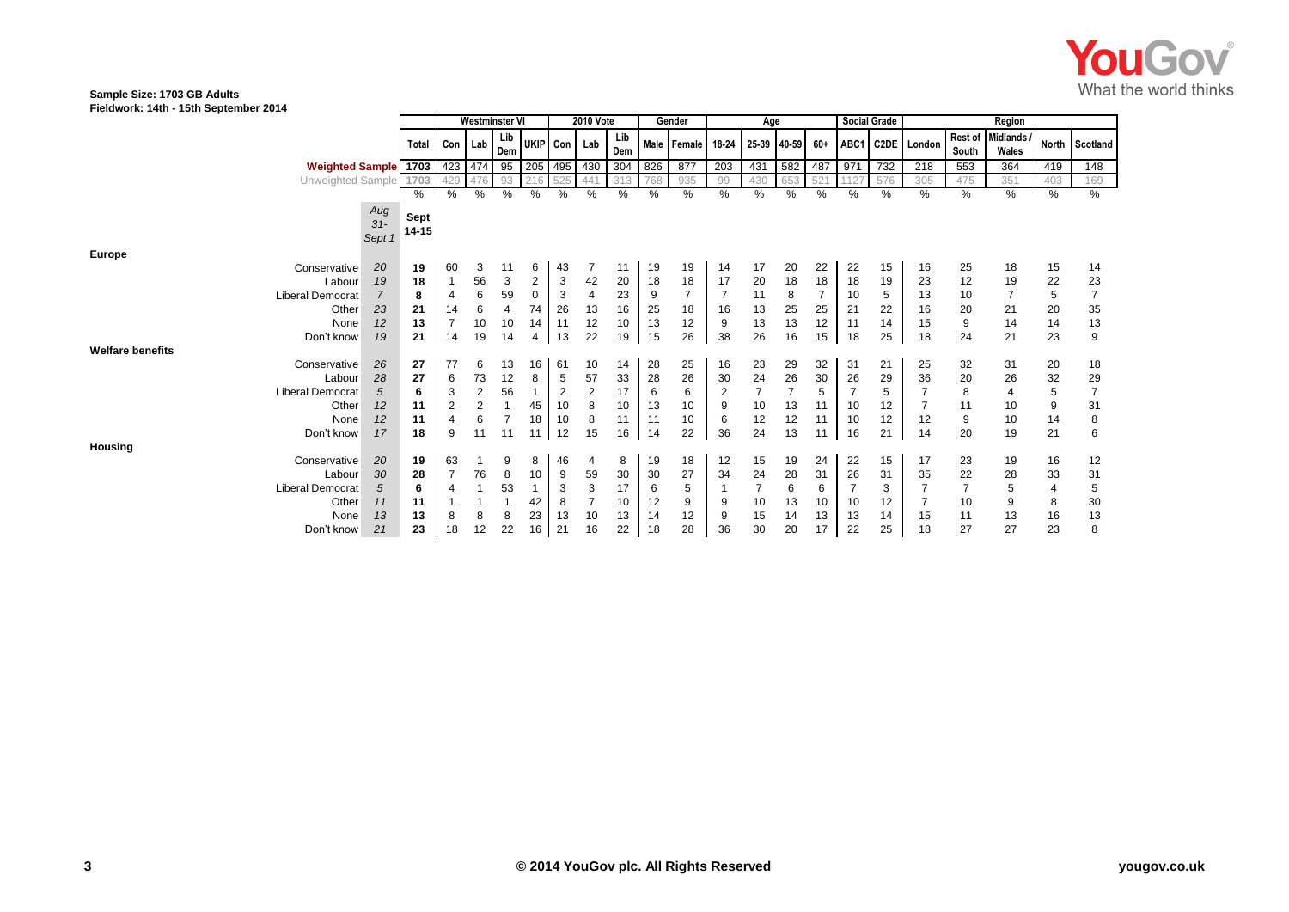

#### **Sample Size: 1703 GB Adults Fieldwork: 14th - 15th September 2014**

|                         |                         |                        |               | Westminster VI |                |            |          | <b>2010 Vote</b> |                |            | Gender   |             |                | Age            |          |          |          | <b>Social Grade</b> | Region      |                  |                          |               |                |
|-------------------------|-------------------------|------------------------|---------------|----------------|----------------|------------|----------|------------------|----------------|------------|----------|-------------|----------------|----------------|----------|----------|----------|---------------------|-------------|------------------|--------------------------|---------------|----------------|
|                         |                         |                        | Total         | Con Lab        |                | Lib<br>Dem | UKIP Con |                  | Lab            | Lib<br>Dem |          | Male Female | 18-24          | 25-39          | 40-59    | 60+      | ABC1     |                     | C2DE London | Rest of<br>South | <b>Midlands</b><br>Wales | North         | Scotland       |
|                         | <b>Weighted Sample</b>  |                        | 1703          | 423 474        |                | $\vert$ 95 | 205 495  |                  | 430            | 304        | 826      | 877         | 203            | 431            | 582      | 487      | 971      | 732                 | 218         | 553              | 364                      | 419           | 148            |
|                         | Unweighted Sample       |                        | 1703          | 429            |                | 93         |          | 525              | 441            | 313        | 768      | 935         | 99             | 430            | 653      | 52       |          | 576                 | 305         | 475              | 351                      | 403           | 169            |
|                         |                         |                        | %             | %              | %              | %          | %        | %                | ℅              | $\%$       | %        | $\%$        | %              | %              | %        | $\%$     | %        | %                   | $\%$        | $\%$             | $\%$                     | $\frac{9}{6}$ | $\frac{9}{6}$  |
|                         |                         | Aug<br>$31-$<br>Sept 1 | Sept<br>14-15 |                |                |            |          |                  |                |            |          |             |                |                |          |          |          |                     |             |                  |                          |               |                |
| <b>Europe</b>           |                         |                        |               |                |                |            |          |                  |                |            |          |             |                |                |          |          |          |                     |             |                  |                          |               |                |
|                         | Conservative            | 20                     | 19            | 60             | 3              | 11         | 6        | 43               |                | 11         | 19       | 19          | 14             | 17             | 20       | 22       | 22       | 15                  | 16          | 25               | 18                       | 15            | 14             |
|                         | Labour                  | 19                     | 18            |                | 56             | 3          | 2        | 3                | 42             | 20         | 18       | 18          | 17             | 20             | 18       | 18       | 18       | 19                  | 23          | 12               | 19                       | 22            | 23             |
|                         | <b>Liberal Democrat</b> | $\overline{7}$         | 8             |                | 6              | 59         | $\Omega$ | 3                | $\overline{4}$ | 23         | 9        | 7           |                | 11             | 8        | 7        | 10       | 5                   | 13          | 10               |                          | 5             | $\overline{7}$ |
|                         | Other                   | 23                     | 21            | 14             | 6              | 4          | 74       | 26               | 13             | 16         | 25       | 18          | 16             | 13             | 25       | 25       | 21       | 22                  | 16          | 20               | 21                       | 20            | $35\,$         |
|                         | None                    | 12                     | 13            |                | 10             | 10         | 14       | 11               | 12             | 10         | 13       | 12          | 9              | 13             | 13       | 12       | 11       | 14                  | 15          | $\boldsymbol{9}$ | 14                       | 14            | 13             |
|                         | Don't know              | 19                     | 21            | 14             | 19             | 14         | 4        | 13               | 22             | 19         | 15       | 26          | 38             | 26             | 16       | 15       | 18       | 25                  | 18          | 24               | 21                       | 23            | 9              |
| <b>Welfare benefits</b> |                         |                        |               |                |                |            |          |                  |                |            |          |             |                |                |          |          |          |                     |             |                  |                          |               |                |
|                         | Conservative            | 26                     | 27            | 77             | 6              | 13         | 16       | 61               | 10             | 14         | 28       | 25          | 16             | 23             | 29       | 32       | 31       | 21                  | 25          | 32               | 31                       | 20            | 18             |
|                         | Labour                  | 28                     | 27            | 6              | 73             | 12         | 8        | 5                | 57             | 33         | 28       | 26          | 30             | 24             | 26<br>7  | 30       | 26       | 29                  | 36          | 20               | 26                       | 32            | 29             |
|                         | <b>Liberal Democrat</b> | 5                      | 6             |                | $\overline{2}$ | 56         |          | $\overline{2}$   | $\overline{c}$ | 17         | 6        | 6           | $\overline{2}$ | $\overline{7}$ |          | 5        |          | 5                   |             | 8                | $\overline{4}$           | 5             | $\overline{7}$ |
|                         | Other                   | 12<br>12               | 11<br>11      |                | 2<br>6         |            | 45<br>18 | 10               | 8              | 10<br>11   | 13       | 10          | 9              | 10<br>12       | 13       | 11<br>11 | 10       | 12                  |             | 11<br>9          | 10<br>10                 | 9<br>14       | 31             |
|                         | None<br>Don't know      | 17                     | 18            | 9              | 11             | 11         |          | 10<br>12         | 8<br>15        | 16         | 11<br>14 | 10<br>22    | 6<br>36        | 24             | 12<br>13 |          | 10<br>16 | 12<br>21            | 12<br>14    | 20               | 19                       | 21            | 8<br>6         |
| Housing                 |                         |                        |               |                |                |            | 11       |                  |                |            |          |             |                |                |          | 11       |          |                     |             |                  |                          |               |                |
|                         | Conservative            | 20                     | 19            | 63             |                | 9          | 8        | 46               | 4              | 8          | 19       | 18          | 12             | 15             | 19       | 24       | 22       | 15                  | 17          | 23               | 19                       | 16            | 12             |
|                         | Labour                  | 30                     | 28            |                | 76             | 8          | 10       | 9                | 59             | 30         | 30       | 27          | 34             | 24             | 28       | 31       | 26       | 31                  | 35          | 22               | 28                       | 33            | 31             |
|                         | <b>Liberal Democrat</b> | 5                      | 6             |                |                | 53         |          | 3                | 3              | 17         | 6        | 5           |                | $\overline{7}$ | 6        | 6        |          | 3                   |             | $\overline{7}$   | 5                        | 4             | 5              |
|                         | Other                   | 11                     | 11            |                |                |            | 42       | 8                |                | 10         | 12       | 9           | 9              | 10             | 13       | 10       | 10       | 12                  |             | 10               | 9                        | 8             | 30             |
|                         | None                    | 13                     | 13            | 8              | 8              | 8          | 23       | 13               | 10             | 13         | 14       | 12          | 9              | 15             | 14       | 13       | 13       | 14                  | 15          | 11               | 13                       | 16            | 13             |
|                         | Don't know              | 21                     | 23            | 18             | 12             | 22         | 16       | 21               | 16             | 22         | 18       | 28          | 36             | 30             | 20       | 17       | 22       | 25                  | 18          | 27               | 27                       | 23            | 8              |